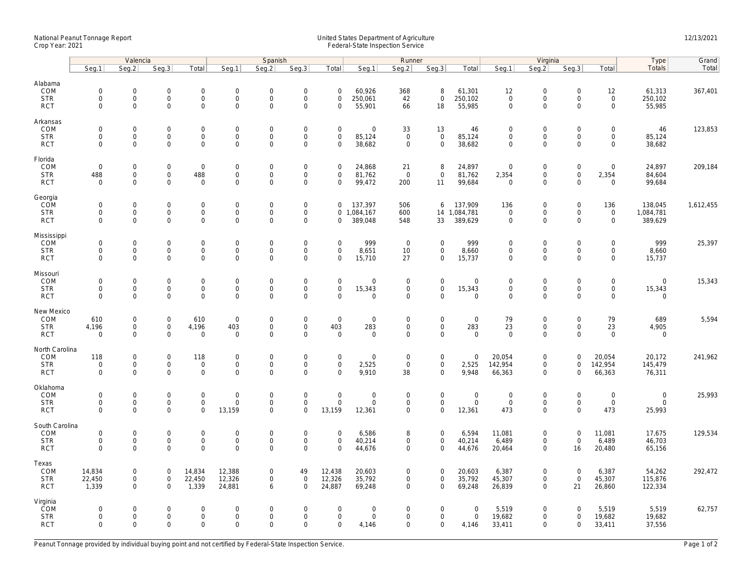## National Peanut Tonnage Report United States Department of Agriculture 12/13/2021<br>Crop Year: 2021 Federal-State Inspection Service

|                                                    | Valencia                                  |                                                            |                                                   |                                                            | Spanish                                         |                                                   |                                                                   |                                                   | Runner                                               |                                                   |                                                    |                                       | Virginia                                          |                                                                   |                                                        |                                                            | Type                                  | Grand     |
|----------------------------------------------------|-------------------------------------------|------------------------------------------------------------|---------------------------------------------------|------------------------------------------------------------|-------------------------------------------------|---------------------------------------------------|-------------------------------------------------------------------|---------------------------------------------------|------------------------------------------------------|---------------------------------------------------|----------------------------------------------------|---------------------------------------|---------------------------------------------------|-------------------------------------------------------------------|--------------------------------------------------------|------------------------------------------------------------|---------------------------------------|-----------|
|                                                    | Seq.1                                     | Seg.2                                                      | Seq.3                                             | Total                                                      | Seg.1                                           | Seq.2                                             | Seq.3                                                             | Total                                             | Seg.1                                                | Seq.2                                             | Seq.3                                              | Total                                 | Seg.1                                             | Seq.2                                                             | Seq.3                                                  | Total                                                      | Totals                                | Total     |
| Alabama<br>COM<br><b>STR</b><br><b>RCT</b>         | $\mathbf 0$<br>$\mathbf 0$<br>$\mathbf 0$ | $\mathbf 0$<br>0<br>$\mathbf 0$                            | $\mathbf 0$<br>$\mathsf{O}\xspace$<br>$\mathbf 0$ | $\mathbf 0$<br>$\mathsf{O}\xspace$<br>$\mathsf{O}$         | $\mathsf{O}$<br>$\mathsf{O}$<br>$\mathsf{O}$    | $\mathbf 0$<br>$\mathsf 0$<br>$\mathbf 0$         | $\mathbf 0$<br>$\mathsf{O}\xspace$<br>$\mathbf 0$                 | $\mathbf 0$<br>$\mathsf 0$<br>$\mathbf 0$         | 60,926<br>250,061<br>55,901                          | 368<br>42<br>66                                   | 8<br>$\mathsf{O}\xspace$<br>18                     | 61,301<br>250,102<br>55,985           | 12<br>$\mathsf{O}\xspace$<br>$\mathbf 0$          | $\mathbf 0$<br>$\mathsf{O}$<br>$\mathbf 0$                        | $\mathbf 0$<br>$\mathsf 0$<br>$\mathbf 0$              | 12<br>$\mathsf{O}\xspace$<br>$\mathsf{O}\xspace$           | 61,313<br>250,102<br>55,985           | 367,401   |
| Arkansas<br>COM<br><b>STR</b><br><b>RCT</b>        | $\mathbf 0$<br>$\mathbf 0$<br>$\mathbf 0$ | $\mathsf{O}\xspace$<br>$\mathsf{O}$<br>$\mathbf 0$         | $\mathbf 0$<br>$\mathbf 0$<br>$\mathbf 0$         | $\mathsf{O}\xspace$<br>$\mathbf 0$<br>$\mathbf 0$          | $\mathbf 0$<br>$\mathsf{O}$<br>$\mathsf{O}$     | $\mathbf 0$<br>$\mathbf 0$<br>$\mathsf 0$         | $\mathsf{O}\xspace$<br>$\mathsf{O}\xspace$<br>$\mathsf{O}\xspace$ | $\mathsf 0$<br>$\mathbf 0$<br>$\mathbf 0$         | $\mathsf{O}\xspace$<br>85,124<br>38,682              | 33<br>$\mathbf 0$<br>$\mathsf 0$                  | 13<br>$\mathsf 0$<br>$\mathbf 0$                   | 46<br>85,124<br>38,682                | $\mathbf 0$<br>$\mathbf 0$<br>$\mathbf 0$         | $\mathsf{O}\xspace$<br>$\mathsf{O}$<br>$\mathsf{O}\xspace$        | $\mathbf 0$<br>$\mathbf 0$<br>$\mathbf 0$              | $\mathsf{O}\xspace$<br>$\mathsf{O}$<br>$\mathsf{O}$        | 46<br>85,124<br>38,682                | 123,853   |
| Florida<br>COM<br><b>STR</b><br><b>RCT</b>         | $\mathbf 0$<br>488<br>$\mathbf 0$         | $\mathbf 0$<br>$\mathsf{O}$<br>$\mathbf 0$                 | $\mathbf 0$<br>$\mathsf{O}\xspace$<br>$\Omega$    | $\mathsf 0$<br>488<br>$\mathbf 0$                          | $\boldsymbol{0}$<br>$\mathsf{O}$<br>$\mathbf 0$ | $\mathbf 0$<br>$\mathsf{O}\xspace$<br>$\mathbf 0$ | $\mathsf{O}\xspace$<br>$\mathsf 0$<br>$\mathbf 0$                 | $\mathbf 0$<br>$\mathbf 0$<br>$\Omega$            | 24,868<br>81,762<br>99,472                           | 21<br>$\mathbf 0$<br>200                          | 8<br>$\mathsf 0$<br>11                             | 24,897<br>81,762<br>99,684            | $\mathbf 0$<br>2,354<br>$\overline{0}$            | $\mathbf 0$<br>$\mathsf{O}$<br>$\mathbf 0$                        | $\mathsf{O}\xspace$<br>$\mathsf{O}\xspace$<br>$\Omega$ | $\mathsf{O}\xspace$<br>2,354<br>$\mathbf 0$                | 24,897<br>84,604<br>99,684            | 209,184   |
| Georgia<br>COM<br><b>STR</b><br><b>RCT</b>         | $\mathbf 0$<br>$\mathbf 0$<br>$\mathbf 0$ | $\mathbf 0$<br>$\mathsf{O}\xspace$<br>$\mathbf 0$          | $\mathbf 0$<br>$\mathbf 0$<br>$\mathbf 0$         | $\mathsf{O}\xspace$<br>$\mathbf 0$<br>$\mathbf 0$          | $\boldsymbol{0}$<br>$\mathbf 0$<br>$\mathbf 0$  | $\mathbf 0$<br>$\mathsf 0$<br>$\mathbf 0$         | $\mathsf{O}\xspace$<br>$\mathsf 0$<br>$\mathbf 0$                 | 0<br>0                                            | 137,397<br>0 1,084,167<br>389,048                    | 506<br>600<br>548                                 | 6<br>14<br>33                                      | 137,909<br>1,084,781<br>389,629       | 136<br>$\mathbf 0$<br>$\mathbf 0$                 | $\mathsf{O}\xspace$<br>$\mathsf{O}\xspace$<br>$\mathbf 0$         | $\mathsf 0$<br>$\mathsf 0$<br>$\Omega$                 | 136<br>$\mathbf 0$<br>$\mathbf 0$                          | 138,045<br>1,084,781<br>389,629       | 1,612,455 |
| Mississippi<br>COM<br><b>STR</b><br><b>RCT</b>     | $\mathbf 0$<br>$\mathbf 0$<br>$\mathbf 0$ | $\mathbf 0$<br>$\mathsf{O}\xspace$<br>$\mathbf{0}$         | $\mathbf 0$<br>$\mathbf 0$<br>$\mathbf 0$         | $\mathbf 0$<br>$\mathsf{O}\xspace$<br>$\mathbf 0$          | $\mathsf{O}$<br>$\mathsf{O}$<br>$\mathbf 0$     | $\mathbf 0$<br>$\mathsf 0$<br>$\mathbf 0$         | $\mathsf{O}\xspace$<br>$\mathsf{O}\xspace$<br>$\mathbf 0$         | $\mathbf 0$<br>$\mathbf 0$<br>$\mathbf 0$         | 999<br>8,651<br>15,710                               | $\mathbf 0$<br>10<br>27                           | $\mathbf 0$<br>$\mathbf 0$<br>$\mathbf 0$          | 999<br>8,660<br>15,737                | $\mathbf 0$<br>$\mathsf{O}\xspace$<br>$\mathbf 0$ | $\mathbf 0$<br>$\mathsf{O}\xspace$<br>$\mathbf 0$                 | $\mathbf 0$<br>$\mathbf 0$<br>$\Omega$                 | $\mathbf 0$<br>$\mathbf 0$<br>$\mathbf 0$                  | 999<br>8,660<br>15,737                | 25,397    |
| Missouri<br>COM<br><b>STR</b><br><b>RCT</b>        | $\mathbf 0$<br>$\mathbf 0$<br>$\mathbf 0$ | $\mathsf{O}\xspace$<br>$\mathsf{O}\xspace$<br>$\mathbf 0$  | $\mathbf 0$<br>$\mathbf 0$<br>$\mathbf 0$         | $\mathsf{O}\xspace$<br>$\mathsf{O}\xspace$<br>$\mathbf 0$  | $\mathbf 0$<br>$\boldsymbol{0}$<br>$\mathbf 0$  | $\mathbf 0$<br>$\mathbf 0$<br>$\mathbf 0$         | $\mathsf{O}\xspace$<br>$\mathsf{O}\xspace$<br>$\mathbf 0$         | $\mathsf 0$<br>$\mathsf{O}\xspace$<br>$\mathbf 0$ | $\mathsf{O}\xspace$<br>15,343<br>$\mathbf 0$         | $\mathsf 0$<br>$\mathsf{O}\xspace$<br>$\mathbf 0$ | $\mathbf 0$<br>$\mathsf{O}\xspace$<br>$\mathbf{0}$ | $\mathbf 0$<br>15,343<br>$\mathbf{0}$ | $\mathbf 0$<br>$\mathsf{O}\xspace$<br>$\mathbf 0$ | $\mathbf 0$<br>$\mathsf{O}\xspace$<br>$\mathbf 0$                 | $\mathsf 0$<br>$\mathbf 0$<br>$\mathbf 0$              | $\mathsf{O}\xspace$<br>$\mathsf{O}\xspace$<br>$\mathbf{0}$ | $\mathbf{0}$<br>15,343<br>$\mathbf 0$ | 15,343    |
| New Mexico<br>COM<br><b>STR</b><br><b>RCT</b>      | 610<br>4,196<br>$\mathbf 0$               | $\mathbf 0$<br>$\mathbf 0$<br>$\mathbf 0$                  | $\mathbf 0$<br>$\mathbf 0$<br>$\mathbf 0$         | 610<br>4,196<br>$\mathbf 0$                                | $\mathbf 0$<br>403<br>$\mathbf 0$               | $\mathbf 0$<br>$\mathbf 0$<br>0                   | $\mathsf{O}\xspace$<br>$\mathbf 0$<br>$\mathsf{O}\xspace$         | $\mathsf 0$<br>403<br>$\mathbf 0$                 | $\mathbf 0$<br>283<br>$\mathbf 0$                    | $\mathbf 0$<br>$\mathbf 0$<br>0                   | $\mathbf 0$<br>$\mathbf{0}$<br>$\mathbf 0$         | $\mathbf 0$<br>283<br>$\mathbf 0$     | 79<br>23<br>$\mathbf 0$                           | $\mathbf 0$<br>$\mathsf{O}\xspace$<br>$\mathsf{O}\xspace$         | $\mathbf 0$<br>$\mathbf 0$<br>$\Omega$                 | 79<br>23<br>$\mathbf 0$                                    | 689<br>4,905<br>$\mathbf 0$           | 5,594     |
| North Carolina<br>COM<br><b>STR</b><br><b>RCT</b>  | 118<br>$\mathbf 0$<br>$\mathbf 0$         | $\mathsf{O}\xspace$<br>$\mathsf{O}\xspace$<br>$\mathbf{0}$ | $\mathbf 0$<br>$\mathsf{O}\xspace$<br>$\mathbf 0$ | 118<br>$\mathbf 0$<br>$\mathbf 0$                          | $\mathbf 0$<br>$\mathsf{O}$<br>$\mathbf{0}$     | $\mathbf 0$<br>$\mathbf 0$<br>$\mathbf 0$         | $\mathsf{O}\xspace$<br>$\mathsf 0$<br>$\mathbf 0$                 | $\mathsf 0$<br>$\mathsf 0$<br>$\Omega$            | $\mathbf 0$<br>2,525<br>9,910                        | $\mathbf 0$<br>$\mathbf 0$<br>38                  | $\mathsf{O}\xspace$<br>$\mathbf 0$<br>$\mathbf{0}$ | $\mathbf 0$<br>2,525<br>9,948         | 20,054<br>142,954<br>66,363                       | $\mathsf{O}\xspace$<br>$\mathsf{O}\xspace$<br>$\mathbf 0$         | $\mathsf 0$<br>$\mathbf 0$<br>0                        | 20,054<br>142,954<br>66,363                                | 20,172<br>145,479<br>76,311           | 241,962   |
| Oklahoma<br>COM<br><b>STR</b><br><b>RCT</b>        | $\mathbf 0$<br>$\mathbf 0$<br>$\Omega$    | 0<br>$\mathsf{O}\xspace$<br>$\mathbf 0$                    | $\mathbf 0$<br>$\mathbf 0$<br>$\mathbf 0$         | $\mathsf{O}\xspace$<br>$\mathbf 0$<br>$\mathbf{O}$         | $\mathbf 0$<br>$\mathbf 0$<br>13,159            | $\mathbf 0$<br>$\mathbf 0$<br>$\Omega$            | $\mathsf{O}\xspace$<br>$\mathsf 0$<br>$\mathbf 0$                 | $\mathbf 0$<br>$\mathbf 0$<br>13,159              | $\mathsf{O}\xspace$<br>$\mathsf{O}\xspace$<br>12,361 | $\mathbf 0$<br>$\mathbf 0$<br>$\mathbf 0$         | $\mathsf{O}\xspace$<br>$\mathbf 0$<br>$\mathbf{0}$ | $\mathbf 0$<br>$\mathbf 0$<br>12,361  | $\mathbf 0$<br>$\mathsf{O}\xspace$<br>473         | $\mathsf{O}\xspace$<br>$\mathsf{O}\xspace$<br>$\mathsf{O}\xspace$ | $\mathbf 0$<br>$\mathbf 0$<br>$\Omega$                 | $\mathsf{O}\xspace$<br>$\mathbf 0$<br>473                  | $\mathbf 0$<br>$\mathbf 0$<br>25,993  | 25,993    |
| South Carolina<br>COM<br><b>STR</b><br><b>RCT</b>  | $\mathbf 0$<br>$\mathbf 0$<br>$\mathbf 0$ | $\mathsf{O}\xspace$<br>$\mathsf{O}\xspace$<br>$\mathbf 0$  | $\mathbf 0$<br>$\mathsf 0$<br>$\mathbf 0$         | $\mathsf{O}\xspace$<br>$\mathsf{O}\xspace$<br>$\mathbf{O}$ | $\mathbf 0$<br>$\mathbf 0$<br>$\mathbf 0$       | $\mathbf 0$<br>$\mathbf 0$<br>$\mathbf 0$         | $\mathsf{O}\xspace$<br>$\mathsf{O}\xspace$<br>$\mathbf 0$         | $\mathbf 0$<br>$\mathsf 0$<br>$\Omega$            | 6,586<br>40,214<br>44,676                            | 8<br>$\mathbf 0$<br>$\mathbf 0$                   | $\mathsf{O}\xspace$<br>$\mathbf 0$<br>$\mathbf 0$  | 6,594<br>40,214<br>44,676             | 11,081<br>6,489<br>20,464                         | $\mathsf{O}\xspace$<br>$\mathsf{O}\xspace$<br>$\mathbf 0$         | $\mathbf 0$<br>$\mathsf 0$<br>16                       | 11,081<br>6,489<br>20,480                                  | 17,675<br>46,703<br>65,156            | 129,534   |
| Texas<br>COM<br><b>STR</b><br><b>RCT</b>           | 14,834<br>22,450<br>1,339                 | $\mathsf{O}\xspace$<br>$\mathbf 0$<br>$\mathbf{0}$         | $\mathsf{O}\xspace$<br>$\mathbf 0$<br>$\mathbf 0$ | 14,834<br>22,450<br>1,339                                  | 12,388<br>12,326<br>24,881                      | $\mathbf 0$<br>$\mathbf{0}$<br>6                  | 49<br>$\mathbf 0$<br>$\mathbf 0$                                  | 12,438<br>12,326<br>24,887                        | 20,603<br>35,792<br>69,248                           | 0<br>$\mathbf 0$<br>$\mathbf 0$                   | $\mathbf 0$<br>$\mathbf{0}$<br>$\mathbf{0}$        | 20,603<br>35,792<br>69,248            | 6,387<br>45,307<br>26,839                         | $\mathsf{O}\xspace$<br>$\mathbf 0$<br>$\mathbf 0$                 | $\mathbf 0$<br>$\mathbf 0$<br>21                       | 6,387<br>45,307<br>26,860                                  | 54,262<br>115,876<br>122,334          | 292,472   |
| Virginia<br><b>COM</b><br><b>STR</b><br><b>RCT</b> | $\mathbf 0$<br>$\mathbf 0$<br>$\Omega$    | $\mathsf{O}\xspace$<br>$\mathsf{O}\xspace$<br>$\Omega$     | $\mathbf 0$<br>$\mathbf 0$<br>$\Omega$            | $\mathsf{O}\xspace$<br>$\mathsf{O}\xspace$<br>$\mathbf 0$  | $\mathbf 0$<br>$\mathbf 0$<br>$\Omega$          | $\mathbf 0$<br>$\mathbf 0$<br>$\Omega$            | $\mathsf{O}\xspace$<br>$\mathsf{O}\xspace$<br>$\Omega$            | $\mathbf 0$<br>$\mathbf 0$<br>$\Omega$            | $\mathsf{O}\xspace$<br>$\mathsf{O}\xspace$<br>4,146  | 0<br>0<br>$\Omega$                                | $\mathbf 0$<br>$\mathbf 0$<br>$\mathbf 0$          | $\mathbf 0$<br>$\mathbf 0$<br>4,146   | 5,519<br>19,682<br>33,411                         | $\mathsf{O}\xspace$<br>$\mathsf{O}\xspace$<br>$\Omega$            | $\mathbf 0$<br>$\mathbf 0$<br>$\Omega$                 | 5,519<br>19,682<br>33,411                                  | 5,519<br>19,682<br>37,556             | 62,757    |

Peanut Tonnage provided by individual buying point and not certified by Federal-State Inspection Service. Page 1 of 2